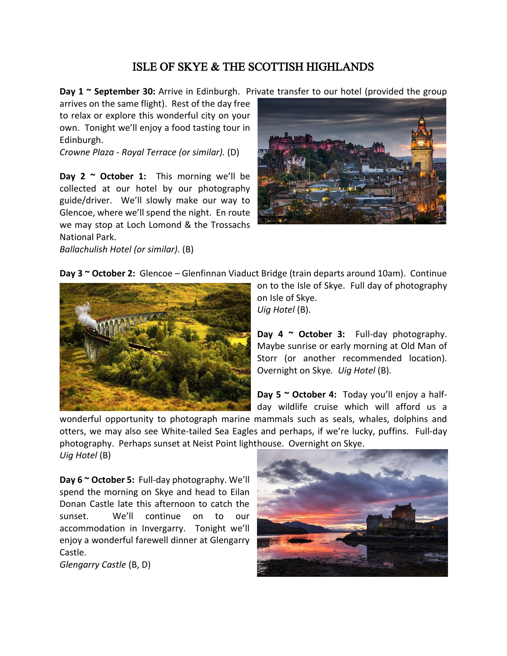## ISLE OF SKYE & THE SCOTTISH HIGHLANDS

**Day 1 ~ September 30:** Arrive in Edinburgh. Private transfer to our hotel (provided the group

arrives on the same flight). Rest of the day free to relax or explore this wonderful city on your own. Tonight we'll enjoy a food tasting tour in Edinburgh.

*Crowne Plaza - Royal Terrace (or similar).* (D)

**Day 2 ~ October 1:** This morning we'll be collected at our hotel by our photography guide/driver. We'll slowly make our way to Glencoe, where we'll spend the night. En route we may stop at Loch Lomond & the Trossachs National Park.

*Ballachulish Hotel (or similar).* (B)



| Day 3 ~ October 2: Glencoe - Glenfinnan Viaduct Bridge (train departs around 10am). Continue |  |
|----------------------------------------------------------------------------------------------|--|
|----------------------------------------------------------------------------------------------|--|



on to the Isle of Skye. Full day of photography on Isle of Skye.

*Uig Hotel* (B).

**Day 4 ~ October 3:** Full-day photography. Maybe sunrise or early morning at Old Man of Storr (or another recommended location). Overnight on Skye*. Uig Hotel* (B).

**Day 5 ~ October 4:** Today you'll enjoy a halfday wildlife cruise which will afford us a

wonderful opportunity to photograph marine mammals such as seals, whales, dolphins and otters, we may also see White-tailed Sea Eagles and perhaps, if we're lucky, puffins. Full-day photography. Perhaps sunset at Neist Point lighthouse. Overnight on Skye. *Uig Hotel* (B)

**Day 6 ~ October 5:** Full-day photography. We'll spend the morning on Skye and head to Eilan Donan Castle late this afternoon to catch the sunset. We'll continue on to our accommodation in Invergarry. Tonight we'll enjoy a wonderful farewell dinner at Glengarry Castle.

*Glengarry Castle* (B, D)